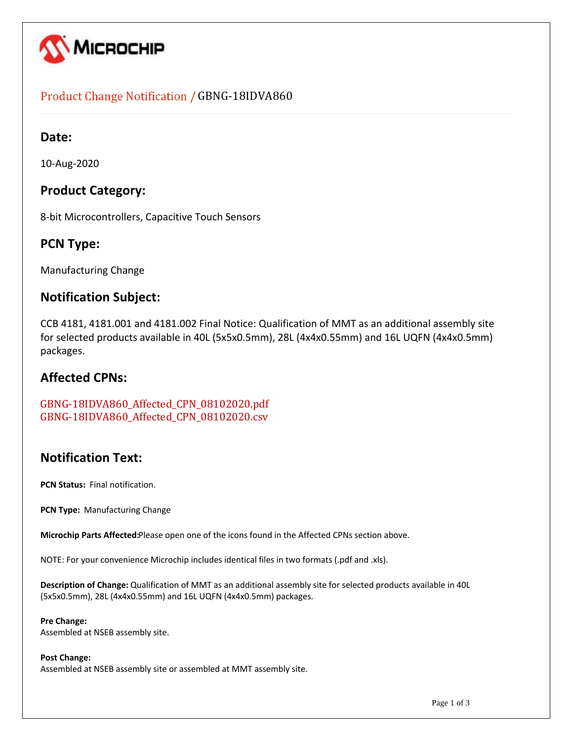

## Product Change Notification / GBNG-18IDVA860

## **Date:**

10-Aug-2020

## **Product Category:**

8-bit Microcontrollers, Capacitive Touch Sensors

## **PCN Type:**

Manufacturing Change

## **Notification Subject:**

CCB 4181, 4181.001 and 4181.002 Final Notice: Qualification of MMT as an additional assembly site for selected products available in 40L (5x5x0.5mm), 28L (4x4x0.55mm) and 16L UQFN (4x4x0.5mm) packages.

## **Affected CPNs:**

GBNG-18IDVA860\_Affected\_CPN\_08102020.pdf GBNG-18IDVA860\_Affected\_CPN\_08102020.csv

## **Notification Text:**

**PCN Status:** Final notification.

**PCN Type:** Manufacturing Change

**Microchip Parts Affected:**Please open one of the icons found in the Affected CPNs section above.

NOTE: For your convenience Microchip includes identical files in two formats (.pdf and .xls).

**Description of Change:** Qualification of MMT as an additional assembly site for selected products available in 40L (5x5x0.5mm), 28L (4x4x0.55mm) and 16L UQFN (4x4x0.5mm) packages.

#### **Pre Change:**

Assembled at NSEB assembly site.

#### **Post Change:**

Assembled at NSEB assembly site or assembled at MMT assembly site.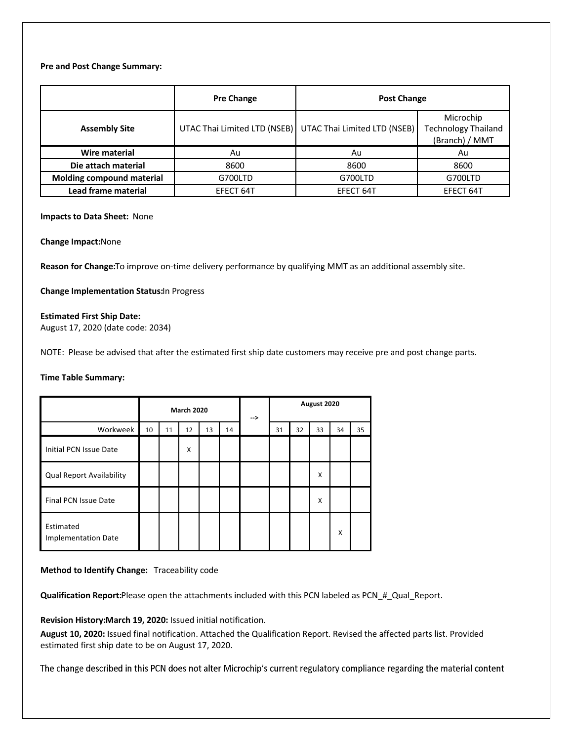#### **Pre and Post Change Summary:**

|                           | <b>Pre Change</b>            | <b>Post Change</b>           |                                                           |  |  |
|---------------------------|------------------------------|------------------------------|-----------------------------------------------------------|--|--|
| <b>Assembly Site</b>      | UTAC Thai Limited LTD (NSEB) | UTAC Thai Limited LTD (NSEB) | Microchip<br><b>Technology Thailand</b><br>(Branch) / MMT |  |  |
| Wire material             | Au                           | Au                           | Au                                                        |  |  |
| Die attach material       | 8600                         | 8600                         | 8600                                                      |  |  |
| Molding compound material | G700LTD                      | G700LTD                      | G700LTD                                                   |  |  |
| Lead frame material       | EFECT 64T                    | EFECT 64T                    | EFECT 64T                                                 |  |  |

#### **Impacts to Data Sheet:** None

#### **Change Impact:**None

**Reason for Change:**To improve on-time delivery performance by qualifying MMT as an additional assembly site.

**Change Implementation Status:**In Progress

#### **Estimated First Ship Date:**

August 17, 2020 (date code: 2034)

NOTE: Please be advised that after the estimated first ship date customers may receive pre and post change parts.

#### **Time Table Summary:**

|                                         | <b>March 2020</b> |    |    | --> | August 2020 |  |    |    |    |    |    |
|-----------------------------------------|-------------------|----|----|-----|-------------|--|----|----|----|----|----|
| Workweek                                | 10                | 11 | 12 | 13  | 14          |  | 31 | 32 | 33 | 34 | 35 |
| Initial PCN Issue Date                  |                   |    | X  |     |             |  |    |    |    |    |    |
| <b>Qual Report Availability</b>         |                   |    |    |     |             |  |    |    | X  |    |    |
| <b>Final PCN Issue Date</b>             |                   |    |    |     |             |  |    |    | X  |    |    |
| Estimated<br><b>Implementation Date</b> |                   |    |    |     |             |  |    |    |    | X  |    |

#### **Method to Identify Change:** Traceability code

**Qualification Report:**Please open the attachments included with this PCN labeled as PCN\_#\_Qual\_Report.

**Revision History:March 19, 2020:** Issued initial notification.

**August 10, 2020:** Issued final notification. Attached the Qualification Report. Revised the affected parts list. Provided estimated first ship date to be on August 17, 2020.

The change described in this PCN does not alter Microchip's current regulatory compliance regarding the material content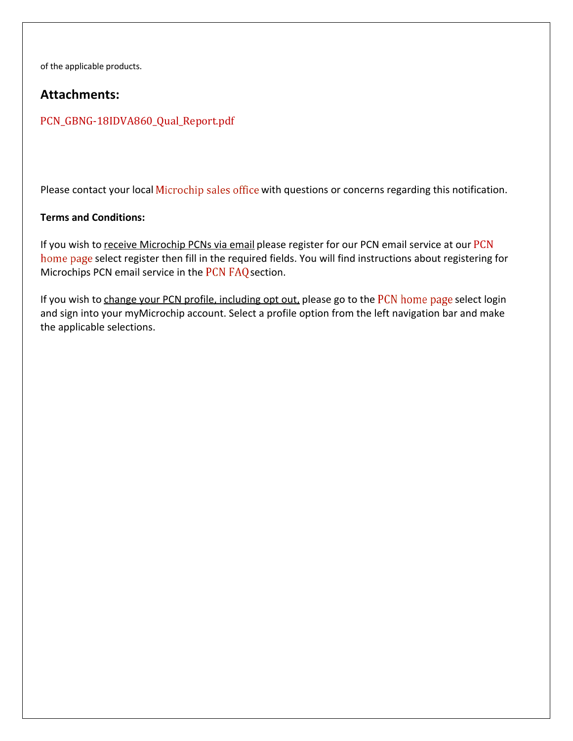of the applicable products.

## **Attachments:**

## PCN\_GBNG-18IDVA860\_Qual\_Report.pdf

Please contact your local Microchip sales office with questions or concerns regarding this notification.

### **Terms and Conditions:**

If you wish to receive Microchip PCNs via email please register for our PCN email service at our PCN home page select register then fill in the required fields. You will find instructions about registering for Microchips PCN email service in the PCN FAQ section.

If you wish to change your PCN profile, including opt out, please go to the PCN home page select login and sign into your myMicrochip account. Select a profile option from the left navigation bar and make the applicable selections.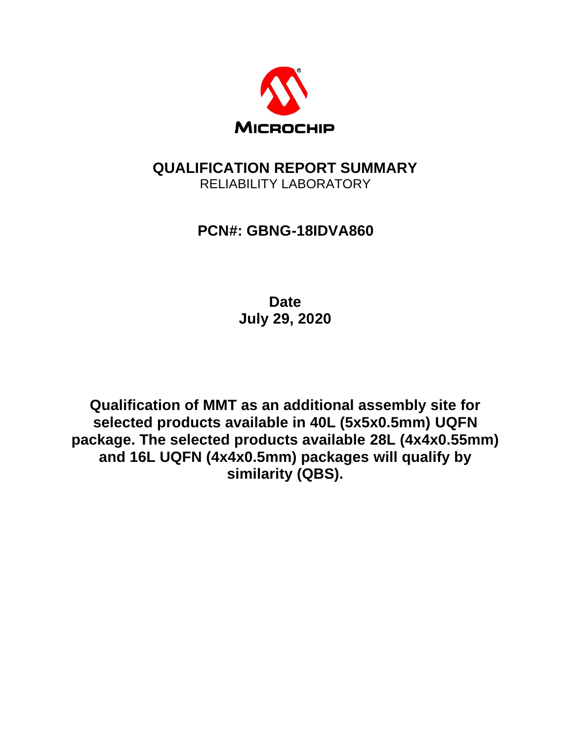

## **QUALIFICATION REPORT SUMMARY** RELIABILITY LABORATORY

## **PCN#: GBNG-18IDVA860**

**Date July 29, 2020**

**Qualification of MMT as an additional assembly site for selected products available in 40L (5x5x0.5mm) UQFN package. The selected products available 28L (4x4x0.55mm) and 16L UQFN (4x4x0.5mm) packages will qualify by similarity (QBS).**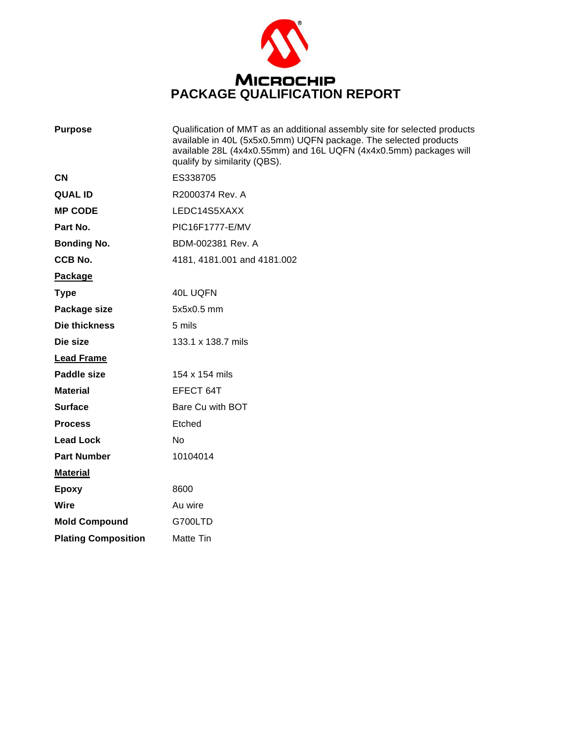

| <b>Purpose</b>             | Qualification of MMT as an additional assembly site for selected products<br>available in 40L (5x5x0.5mm) UQFN package. The selected products<br>available 28L (4x4x0.55mm) and 16L UQFN (4x4x0.5mm) packages will<br>qualify by similarity (QBS). |
|----------------------------|----------------------------------------------------------------------------------------------------------------------------------------------------------------------------------------------------------------------------------------------------|
| <b>CN</b>                  | ES338705                                                                                                                                                                                                                                           |
| <b>QUAL ID</b>             | R2000374 Rev. A                                                                                                                                                                                                                                    |
| <b>MP CODE</b>             | LEDC14S5XAXX                                                                                                                                                                                                                                       |
| Part No.                   | PIC16F1777-E/MV                                                                                                                                                                                                                                    |
| <b>Bonding No.</b>         | BDM-002381 Rev. A                                                                                                                                                                                                                                  |
| CCB No.                    | 4181, 4181.001 and 4181.002                                                                                                                                                                                                                        |
| Package                    |                                                                                                                                                                                                                                                    |
| <b>Type</b>                | 40L UQFN                                                                                                                                                                                                                                           |
| Package size               | 5x5x0.5 mm                                                                                                                                                                                                                                         |
| Die thickness              | 5 mils                                                                                                                                                                                                                                             |
| Die size                   | 133.1 x 138.7 mils                                                                                                                                                                                                                                 |
| <b>Lead Frame</b>          |                                                                                                                                                                                                                                                    |
| Paddle size                | 154 x 154 mils                                                                                                                                                                                                                                     |
| <b>Material</b>            | EFECT 64T                                                                                                                                                                                                                                          |
| <b>Surface</b>             | Bare Cu with BOT                                                                                                                                                                                                                                   |
| <b>Process</b>             | Etched                                                                                                                                                                                                                                             |
| <b>Lead Lock</b>           | No                                                                                                                                                                                                                                                 |
| <b>Part Number</b>         | 10104014                                                                                                                                                                                                                                           |
| <b>Material</b>            |                                                                                                                                                                                                                                                    |
| <b>Epoxy</b>               | 8600                                                                                                                                                                                                                                               |
| <b>Wire</b>                | Au wire                                                                                                                                                                                                                                            |
| <b>Mold Compound</b>       | G700LTD                                                                                                                                                                                                                                            |
| <b>Plating Composition</b> | Matte Tin                                                                                                                                                                                                                                          |
|                            |                                                                                                                                                                                                                                                    |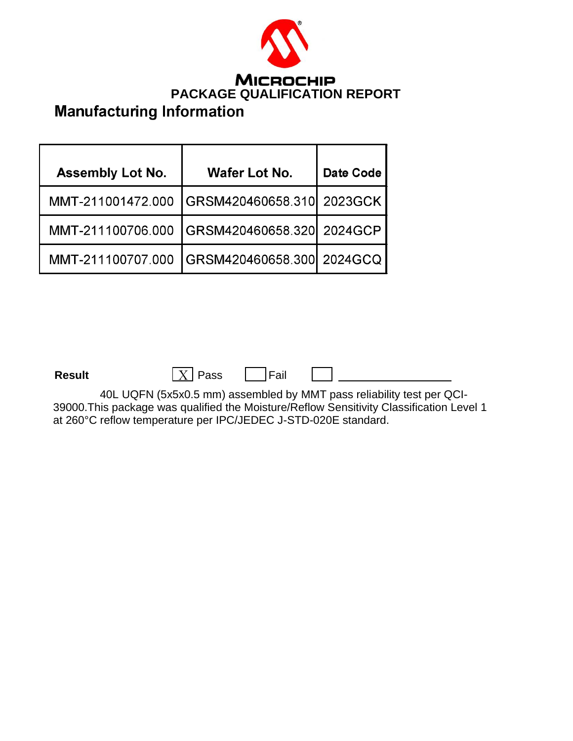

| <b>Assembly Lot No.</b> | <b>Wafer Lot No.</b>      | <b>Date Code</b> |
|-------------------------|---------------------------|------------------|
| MMT-211001472.000       | GRSM420460658.310 2023GCK |                  |
| MMT-211100706.000       | GRSM420460658.320 2024GCP |                  |
| MMT-211100707.000       | GRSM420460658.300 2024GCQ |                  |

**Result**  $\boxed{X}$  **Pass**  $\boxed{P}$  **Fail** 

40L UQFN (5x5x0.5 mm) assembled by MMT pass reliability test per QCI-39000.This package was qualified the Moisture/Reflow Sensitivity Classification Level 1 at 260°C reflow temperature per IPC/JEDEC J-STD-020E standard.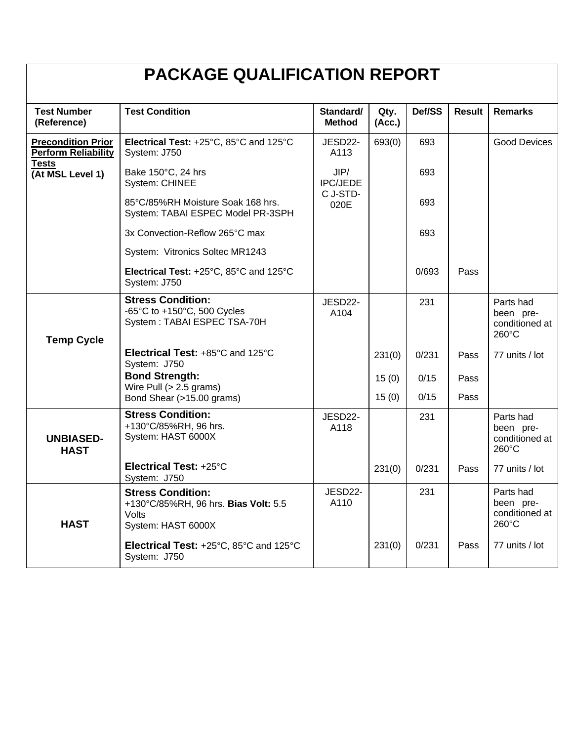| <b>PACKAGE QUALIFICATION REPORT</b>                     |                                                                                                              |                            |                |        |               |                                                   |  |
|---------------------------------------------------------|--------------------------------------------------------------------------------------------------------------|----------------------------|----------------|--------|---------------|---------------------------------------------------|--|
| <b>Test Number</b><br>(Reference)                       | <b>Test Condition</b>                                                                                        | Standard/<br><b>Method</b> | Qty.<br>(Acc.) | Def/SS | <b>Result</b> | <b>Remarks</b>                                    |  |
| <b>Precondition Prior</b><br><b>Perform Reliability</b> | Electrical Test: +25°C, 85°C and 125°C<br>System: J750                                                       | JESD22-<br>A113            | 693(0)         | 693    |               | <b>Good Devices</b>                               |  |
| <b>Tests</b><br>(At MSL Level 1)                        | Bake 150°C, 24 hrs<br><b>System: CHINEE</b>                                                                  | JIP/<br><b>IPC/JEDE</b>    |                | 693    |               |                                                   |  |
|                                                         | 85°C/85%RH Moisture Soak 168 hrs.<br>System: TABAI ESPEC Model PR-3SPH                                       | C J-STD-<br>020E           |                | 693    |               |                                                   |  |
|                                                         | 3x Convection-Reflow 265°C max                                                                               |                            |                | 693    |               |                                                   |  |
|                                                         | System: Vitronics Soltec MR1243                                                                              |                            |                |        |               |                                                   |  |
|                                                         | Electrical Test: +25°C, 85°C and 125°C<br>System: J750                                                       |                            |                | 0/693  | Pass          |                                                   |  |
| <b>Temp Cycle</b>                                       | <b>Stress Condition:</b><br>-65 $^{\circ}$ C to +150 $^{\circ}$ C, 500 Cycles<br>System: TABAI ESPEC TSA-70H | JESD22-<br>A104            |                | 231    |               | Parts had<br>been pre-<br>conditioned at<br>260°C |  |
|                                                         | Electrical Test: +85°C and 125°C<br>System: J750                                                             |                            | 231(0)         | 0/231  | Pass          | 77 units / lot                                    |  |
|                                                         | <b>Bond Strength:</b><br>Wire Pull $(> 2.5$ grams)                                                           |                            | 15(0)          | 0/15   | Pass          |                                                   |  |
|                                                         | Bond Shear (>15.00 grams)                                                                                    |                            | 15(0)          | 0/15   | Pass          |                                                   |  |
| <b>UNBIASED-</b><br><b>HAST</b>                         | <b>Stress Condition:</b><br>+130°C/85%RH, 96 hrs.<br>System: HAST 6000X                                      | JESD22-<br>A118            |                | 231    |               | Parts had<br>been pre-<br>conditioned at<br>260°C |  |
|                                                         | Electrical Test: +25°C<br>System: J750                                                                       |                            | 231(0)         | 0/231  | Pass          | 77 units / lot                                    |  |
| <b>HAST</b>                                             | <b>Stress Condition:</b><br>+130°C/85%RH, 96 hrs. Bias Volt: 5.5<br>Volts<br>System: HAST 6000X              | JESD22-<br>A110            |                | 231    |               | Parts had<br>been pre-<br>conditioned at<br>260°C |  |
|                                                         | Electrical Test: +25°C, 85°C and 125°C<br>System: J750                                                       |                            | 231(0)         | 0/231  | Pass          | 77 units / lot                                    |  |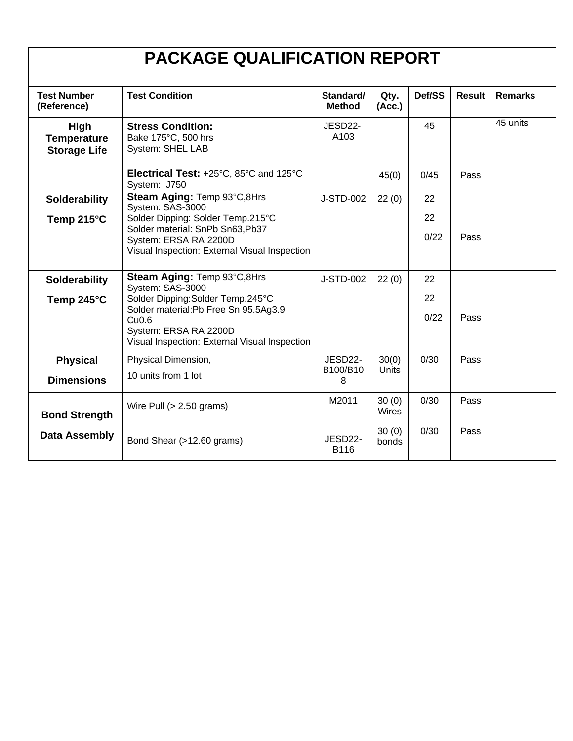# **PACKAGE QUALIFICATION REPORT**

| <b>Test Number</b><br>(Reference)                 | <b>Test Condition</b>                                                                       | Standard/<br><b>Method</b> | Qty.<br>(Acc.) | Def/SS | <b>Result</b> | <b>Remarks</b> |
|---------------------------------------------------|---------------------------------------------------------------------------------------------|----------------------------|----------------|--------|---------------|----------------|
| High<br><b>Temperature</b><br><b>Storage Life</b> | <b>Stress Condition:</b><br>Bake 175°C, 500 hrs<br>System: SHEL LAB                         | JESD22-<br>A103            |                | 45     |               | 45 units       |
|                                                   | Electrical Test: +25°C, 85°C and 125°C<br>System: J750                                      |                            | 45(0)          | 0/45   | Pass          |                |
| Solderability                                     | Steam Aging: Temp 93°C,8Hrs<br>System: SAS-3000                                             | J-STD-002                  | 22(0)          | 22     |               |                |
| Temp 215 $\degree$ C                              | Solder Dipping: Solder Temp.215°C<br>Solder material: SnPb Sn63, Pb37                       |                            |                | 22     |               |                |
|                                                   | System: ERSA RA 2200D<br>Visual Inspection: External Visual Inspection                      |                            |                | 0/22   | Pass          |                |
| <b>Solderability</b>                              | Steam Aging: Temp 93°C, 8Hrs<br>System: SAS-3000                                            | J-STD-002                  | 22(0)          | 22     |               |                |
| Temp 245°C                                        | Solder Dipping: Solder Temp.245°C<br>Solder material: Pb Free Sn 95.5Ag3.9                  |                            |                | 22     |               |                |
|                                                   | Cu <sub>0.6</sub><br>System: ERSA RA 2200D<br>Visual Inspection: External Visual Inspection |                            |                | 0/22   | Pass          |                |
| <b>Physical</b>                                   | Physical Dimension,                                                                         | JESD22-                    | 30(0)          | 0/30   | Pass          |                |
| <b>Dimensions</b>                                 | 10 units from 1 lot                                                                         | B100/B10<br>8              | <b>Units</b>   |        |               |                |
| <b>Bond Strength</b>                              | Wire Pull $(> 2.50$ grams)                                                                  | M2011                      | 30(0)<br>Wires | 0/30   | Pass          |                |
| <b>Data Assembly</b>                              | Bond Shear (>12.60 grams)                                                                   | JESD22-<br>B116            | 30(0)<br>bonds | 0/30   | Pass          |                |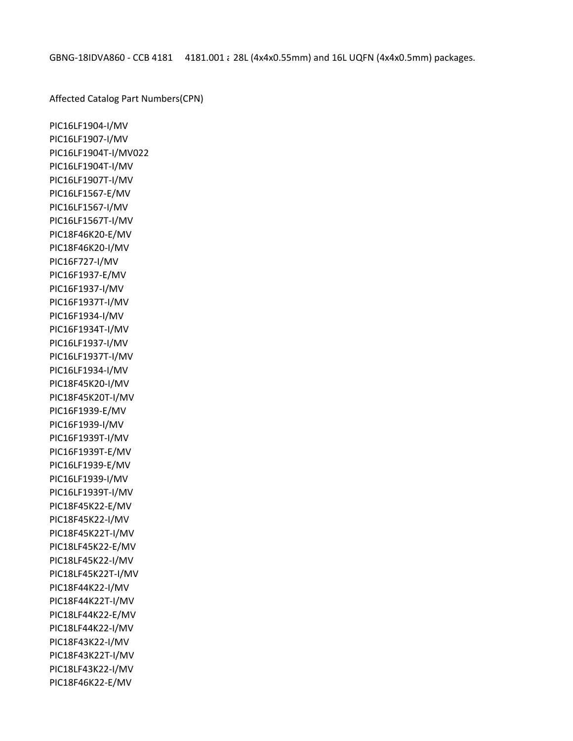Affected Catalog Part Numbers(CPN)

PIC16LF1904-I/MV PIC16LF1907-I/MV PIC16LF1904T-I/MV022 PIC16LF1904T-I/MV PIC16LF1907T-I/MV PIC16LF1567-E/MV PIC16LF1567-I/MV PIC16LF1567T-I/MV PIC18F46K20-E/MV PIC18F46K20-I/MV PIC16F727-I/MV PIC16F1937-E/MV PIC16F1937-I/MV PIC16F1937T-I/MV PIC16F1934-I/MV PIC16F1934T-I/MV PIC16LF1937-I/MV PIC16LF1937T-I/MV PIC16LF1934-I/MV PIC18F45K20-I/MV PIC18F45K20T-I/MV PIC16F1939-E/MV PIC16F1939-I/MV PIC16F1939T-I/MV PIC16F1939T-E/MV PIC16LF1939-E/MV PIC16LF1939-I/MV PIC16LF1939T-I/MV PIC18F45K22-E/MV PIC18F45K22-I/MV PIC18F45K22T-I/MV PIC18LF45K22-E/MV PIC18LF45K22-I/MV PIC18LF45K22T-I/MV PIC18F44K22-I/MV PIC18F44K22T-I/MV PIC18LF44K22-E/MV PIC18LF44K22-I/MV PIC18F43K22-I/MV PIC18F43K22T-I/MV PIC18LF43K22-I/MV PIC18F46K22-E/MV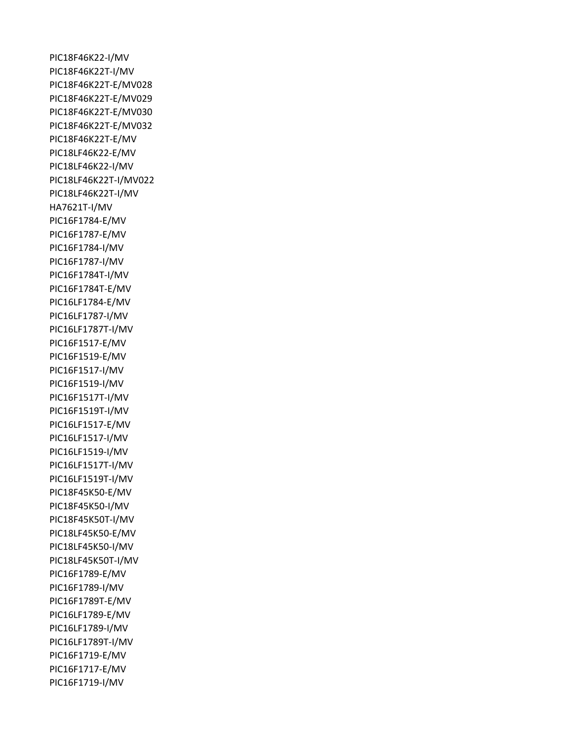PIC18F46K22-I/MV PIC18F46K22T-I/MV PIC18F46K22T-E/MV028 PIC18F46K22T-E/MV029 PIC18F46K22T-E/MV030 PIC18F46K22T-E/MV032 PIC18F46K22T-E/MV PIC18LF46K22-E/MV PIC18LF46K22-I/MV PIC18LF46K22T-I/MV022 PIC18LF46K22T-I/MV HA7621T-I/MV PIC16F1784-E/MV PIC16F1787-E/MV PIC16F1784-I/MV PIC16F1787-I/MV PIC16F1784T-I/MV PIC16F1784T-E/MV PIC16LF1784-E/MV PIC16LF1787-I/MV PIC16LF1787T-I/MV PIC16F1517-E/MV PIC16F1519-E/MV PIC16F1517-I/MV PIC16F1519-I/MV PIC16F1517T-I/MV PIC16F1519T-I/MV PIC16LF1517-E/MV PIC16LF1517-I/MV PIC16LF1519-I/MV PIC16LF1517T-I/MV PIC16LF1519T-I/MV PIC18F45K50-E/MV PIC18F45K50-I/MV PIC18F45K50T-I/MV PIC18LF45K50-E/MV PIC18LF45K50-I/MV PIC18LF45K50T-I/MV PIC16F1789-E/MV PIC16F1789-I/MV PIC16F1789T-E/MV PIC16LF1789-E/MV PIC16LF1789-I/MV PIC16LF1789T-I/MV PIC16F1719-E/MV PIC16F1717-E/MV PIC16F1719-I/MV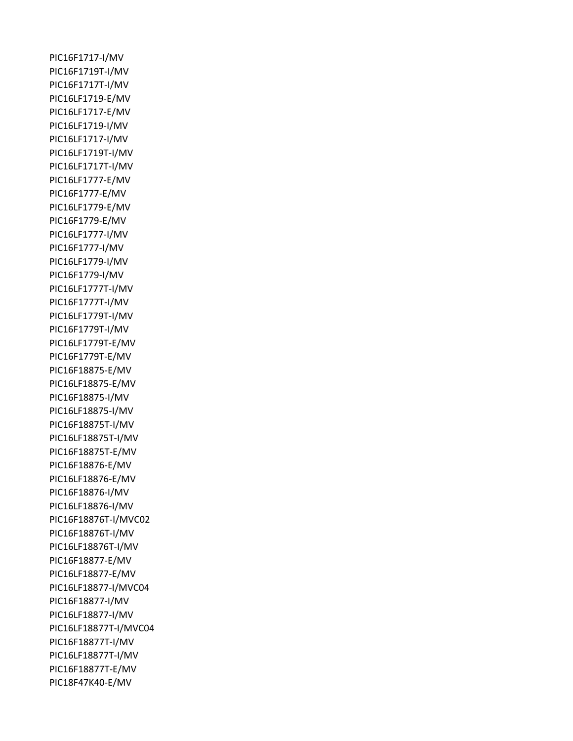PIC16F1717-I/MV PIC16F1719T-I/MV PIC16F1717T-I/MV PIC16LF1719-E/MV PIC16LF1717-E/MV PIC16LF1719-I/MV PIC16LF1717-I/MV PIC16LF1719T-I/MV PIC16LF1717T-I/MV PIC16LF1777-E/MV PIC16F1777-E/MV PIC16LF1779-E/MV PIC16F1779-E/MV PIC16LF1777-I/MV PIC16F1777-I/MV PIC16LF1779-I/MV PIC16F1779-I/MV PIC16LF1777T-I/MV PIC16F1777T-I/MV PIC16LF1779T-I/MV PIC16F1779T-I/MV PIC16LF1779T-E/MV PIC16F1779T-E/MV PIC16F18875-E/MV PIC16LF18875-E/MV PIC16F18875-I/MV PIC16LF18875-I/MV PIC16F18875T-I/MV PIC16LF18875T-I/MV PIC16F18875T-E/MV PIC16F18876-E/MV PIC16LF18876-E/MV PIC16F18876-I/MV PIC16LF18876-I/MV PIC16F18876T-I/MVC02 PIC16F18876T-I/MV PIC16LF18876T-I/MV PIC16F18877-E/MV PIC16LF18877-E/MV PIC16LF18877-I/MVC04 PIC16F18877-I/MV PIC16LF18877-I/MV PIC16LF18877T-I/MVC04 PIC16F18877T-I/MV PIC16LF18877T-I/MV PIC16F18877T-E/MV PIC18F47K40-E/MV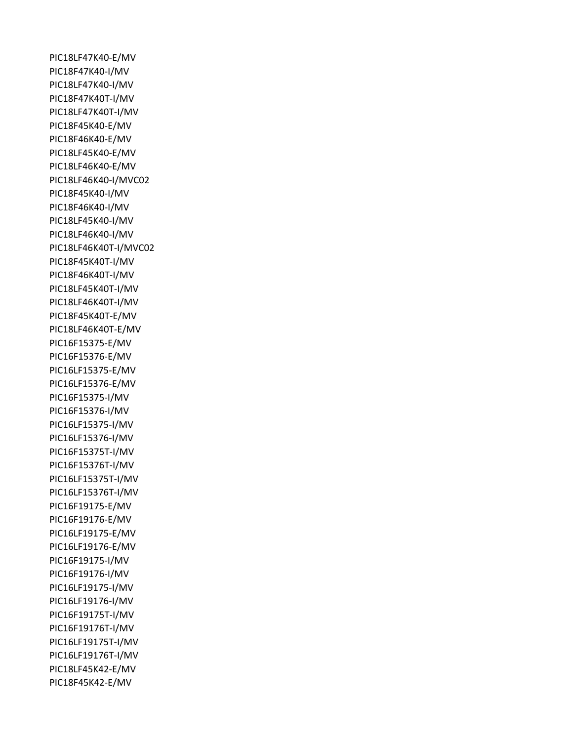PIC18LF47K40-E/MV PIC18F47K40-I/MV PIC18LF47K40-I/MV PIC18F47K40T-I/MV PIC18LF47K40T-I/MV PIC18F45K40-E/MV PIC18F46K40-E/MV PIC18LF45K40-E/MV PIC18LF46K40-E/MV PIC18LF46K40-I/MVC02 PIC18F45K40-I/MV PIC18F46K40-I/MV PIC18LF45K40-I/MV PIC18LF46K40-I/MV PIC18LF46K40T-I/MVC02 PIC18F45K40T-I/MV PIC18F46K40T-I/MV PIC18LF45K40T-I/MV PIC18LF46K40T-I/MV PIC18F45K40T-E/MV PIC18LF46K40T-E/MV PIC16F15375-E/MV PIC16F15376-E/MV PIC16LF15375-E/MV PIC16LF15376-E/MV PIC16F15375-I/MV PIC16F15376-I/MV PIC16LF15375-I/MV PIC16LF15376-I/MV PIC16F15375T-I/MV PIC16F15376T-I/MV PIC16LF15375T-I/MV PIC16LF15376T-I/MV PIC16F19175-E/MV PIC16F19176-E/MV PIC16LF19175-E/MV PIC16LF19176-E/MV PIC16F19175-I/MV PIC16F19176-I/MV PIC16LF19175-I/MV PIC16LF19176-I/MV PIC16F19175T-I/MV PIC16F19176T-I/MV PIC16LF19175T-I/MV PIC16LF19176T-I/MV PIC18LF45K42-E/MV PIC18F45K42-E/MV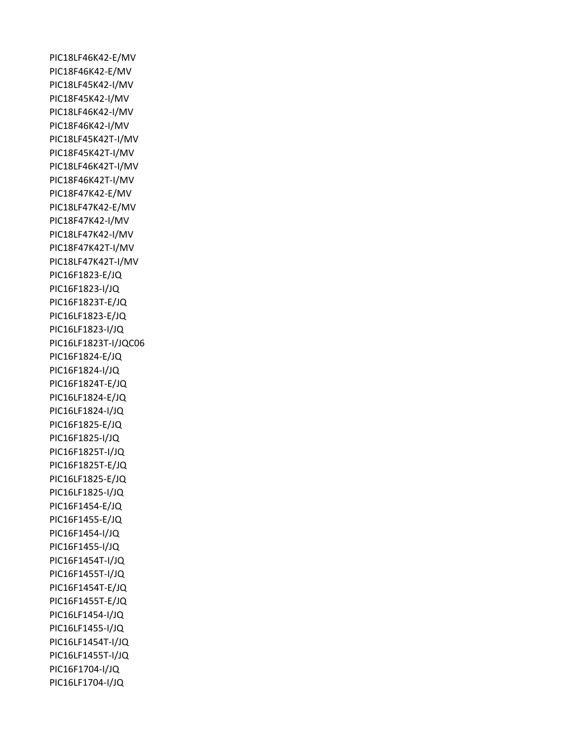PIC18LF46K42-E/MV PIC18F46K42-E/MV PIC18LF45K42-I/MV PIC18F45K42-I/MV PIC18LF46K42-I/MV PIC18F46K42-I/MV PIC18LF45K42T-I/MV PIC18F45K42T-I/MV PIC18LF46K42T-I/MV PIC18F46K42T-I/MV PIC18F47K42-E/MV PIC18LF47K42-E/MV PIC18F47K42-I/MV PIC18LF47K42-I/MV PIC18F47K42T-I/MV PIC18LF47K42T-I/MV PIC16F1823-E/JQ PIC16F1823-I/JQ PIC16F1823T-E/JQ PIC16LF1823-E/JQ PIC16LF1823-I/JQ PIC16LF1823T-I/JQC06 PIC16F1824-E/JQ PIC16F1824-I/JQ PIC16F1824T-E/JQ PIC16LF1824-E/JQ PIC16LF1824-I/JQ PIC16F1825-E/JQ PIC16F1825-I/JQ PIC16F1825T-I/JQ PIC16F1825T-E/JQ PIC16LF1825-E/JQ PIC16LF1825-I/JQ PIC16F1454-E/JQ PIC16F1455-E/JQ PIC16F1454-I/JQ PIC16F1455-I/JQ PIC16F1454T-I/JQ PIC16F1455T-I/JQ PIC16F1454T-E/JQ PIC16F1455T-E/JQ PIC16LF1454-I/JQ PIC16LF1455-I/JQ PIC16LF1454T-I/JQ PIC16LF1455T-I/JQ PIC16F1704-I/JQ PIC16LF1704-I/JQ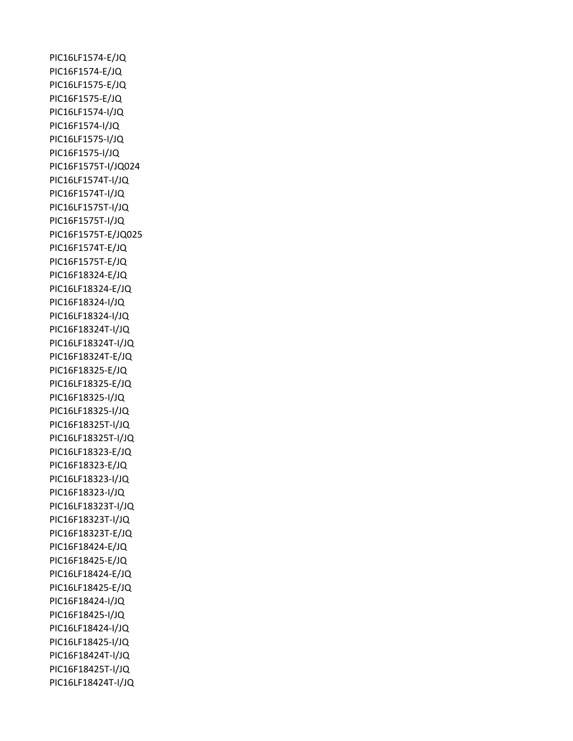PIC16LF1574-E/JQ PIC16F1574-E/JQ PIC16LF1575-E/JQ PIC16F1575-E/JQ PIC16LF1574-I/JQ PIC16F1574-I/JQ PIC16LF1575-I/JQ PIC16F1575-I/JQ PIC16F1575T-I/JQ024 PIC16LF1574T-I/JQ PIC16F1574T-I/JQ PIC16LF1575T-I/JQ PIC16F1575T-I/JQ PIC16F1575T-E/JQ025 PIC16F1574T-E/JQ PIC16F1575T-E/JQ PIC16F18324-E/JQ PIC16LF18324-E/JQ PIC16F18324-I/JQ PIC16LF18324-I/JQ PIC16F18324T-I/JQ PIC16LF18324T-I/JQ PIC16F18324T-E/JQ PIC16F18325-E/JQ PIC16LF18325-E/JQ PIC16F18325-I/JQ PIC16LF18325-I/JQ PIC16F18325T-I/JQ PIC16LF18325T-I/JQ PIC16LF18323-E/JQ PIC16F18323-E/JQ PIC16LF18323-I/JQ PIC16F18323-I/JQ PIC16LF18323T-I/JQ PIC16F18323T-I/JQ PIC16F18323T-E/JQ PIC16F18424-E/JQ PIC16F18425-E/JQ PIC16LF18424-E/JQ PIC16LF18425-E/JQ PIC16F18424-I/JQ PIC16F18425-I/JQ PIC16LF18424-I/JQ PIC16LF18425-I/JQ PIC16F18424T-I/JQ PIC16F18425T-I/JQ PIC16LF18424T-I/JQ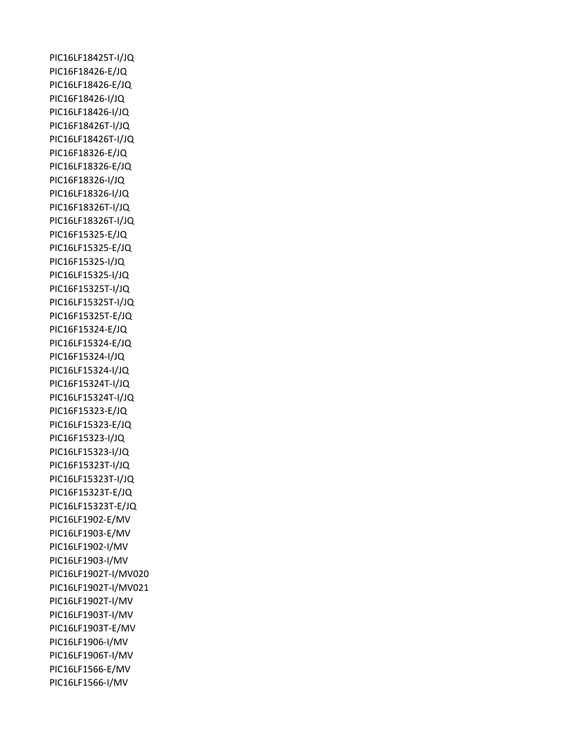PIC16LF18425T-I/JQ PIC16F18426-E/JQ PIC16LF18426-E/JQ PIC16F18426-I/JQ PIC16LF18426-I/JQ PIC16F18426T-I/JQ PIC16LF18426T-I/JQ PIC16F18326-E/JQ PIC16LF18326-E/JQ PIC16F18326-I/JQ PIC16LF18326-I/JQ PIC16F18326T-I/JQ PIC16LF18326T-I/JQ PIC16F15325-E/JQ PIC16LF15325-E/JQ PIC16F15325-I/JQ PIC16LF15325-I/JQ PIC16F15325T-I/JQ PIC16LF15325T-I/JQ PIC16F15325T-E/JQ PIC16F15324-E/JQ PIC16LF15324-E/JQ PIC16F15324-I/JQ PIC16LF15324-I/JQ PIC16F15324T-I/JQ PIC16LF15324T-I/JQ PIC16F15323-E/JQ PIC16LF15323-E/JQ PIC16F15323-I/JQ PIC16LF15323-I/JQ PIC16F15323T-I/JQ PIC16LF15323T-I/JQ PIC16F15323T-E/JQ PIC16LF15323T-E/JQ PIC16LF1902-E/MV PIC16LF1903-E/MV PIC16LF1902-I/MV PIC16LF1903-I/MV PIC16LF1902T-I/MV020 PIC16LF1902T-I/MV021 PIC16LF1902T-I/MV PIC16LF1903T-I/MV PIC16LF1903T-E/MV PIC16LF1906-I/MV PIC16LF1906T-I/MV PIC16LF1566-E/MV PIC16LF1566-I/MV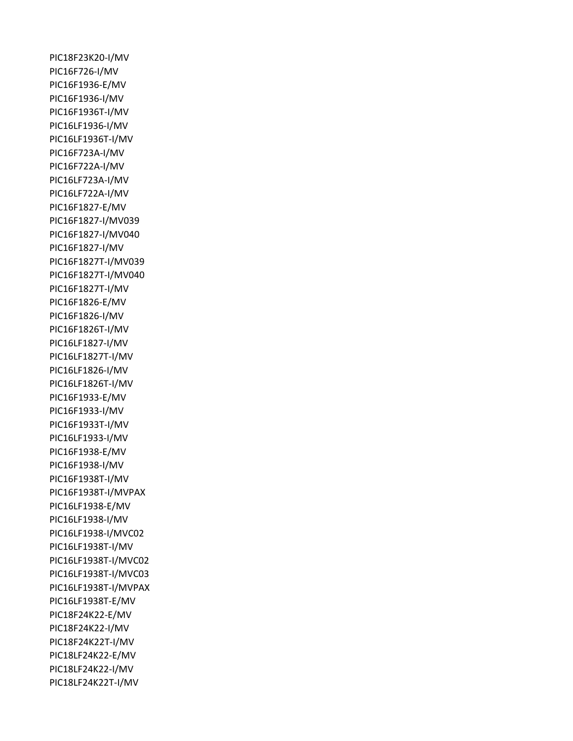PIC18F23K20-I/MV PIC16F726-I/MV PIC16F1936-E/MV PIC16F1936-I/MV PIC16F1936T-I/MV PIC16LF1936-I/MV PIC16LF1936T-I/MV PIC16F723A-I/MV PIC16F722A-I/MV PIC16LF723A-I/MV PIC16LF722A-I/MV PIC16F1827-E/MV PIC16F1827-I/MV039 PIC16F1827-I/MV040 PIC16F1827-I/MV PIC16F1827T-I/MV039 PIC16F1827T-I/MV040 PIC16F1827T-I/MV PIC16F1826-E/MV PIC16F1826-I/MV PIC16F1826T-I/MV PIC16LF1827-I/MV PIC16LF1827T-I/MV PIC16LF1826-I/MV PIC16LF1826T-I/MV PIC16F1933-E/MV PIC16F1933-I/MV PIC16F1933T-I/MV PIC16LF1933-I/MV PIC16F1938-E/MV PIC16F1938-I/MV PIC16F1938T-I/MV PIC16F1938T-I/MVPAX PIC16LF1938-E/MV PIC16LF1938-I/MV PIC16LF1938-I/MVC02 PIC16LF1938T-I/MV PIC16LF1938T-I/MVC02 PIC16LF1938T-I/MVC03 PIC16LF1938T-I/MVPAX PIC16LF1938T-E/MV PIC18F24K22-E/MV PIC18F24K22-I/MV PIC18F24K22T-I/MV PIC18LF24K22-E/MV PIC18LF24K22-I/MV PIC18LF24K22T-I/MV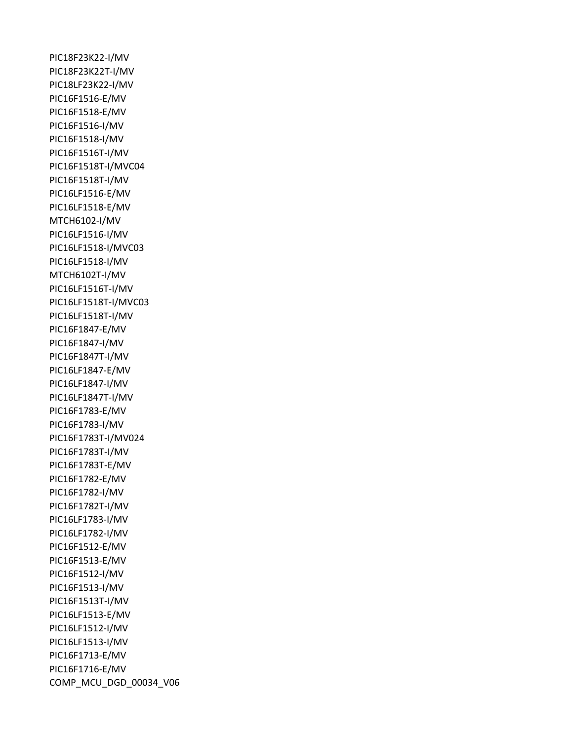PIC18F23K22-I/MV PIC18F23K22T-I/MV PIC18LF23K22-I/MV PIC16F1516-E/MV PIC16F1518-E/MV PIC16F1516-I/MV PIC16F1518-I/MV PIC16F1516T-I/MV PIC16F1518T-I/MVC04 PIC16F1518T-I/MV PIC16LF1516-E/MV PIC16LF1518-E/MV MTCH6102-I/MV PIC16LF1516-I/MV PIC16LF1518-I/MVC03 PIC16LF1518-I/MV MTCH6102T-I/MV PIC16LF1516T-I/MV PIC16LF1518T-I/MVC03 PIC16LF1518T-I/MV PIC16F1847-E/MV PIC16F1847-I/MV PIC16F1847T-I/MV PIC16LF1847-E/MV PIC16LF1847-I/MV PIC16LF1847T-I/MV PIC16F1783-E/MV PIC16F1783-I/MV PIC16F1783T-I/MV024 PIC16F1783T-I/MV PIC16F1783T-E/MV PIC16F1782-E/MV PIC16F1782-I/MV PIC16F1782T-I/MV PIC16LF1783-I/MV PIC16LF1782-I/MV PIC16F1512-E/MV PIC16F1513-E/MV PIC16F1512-I/MV PIC16F1513-I/MV PIC16F1513T-I/MV PIC16LF1513-E/MV PIC16LF1512-I/MV PIC16LF1513-I/MV PIC16F1713-E/MV PIC16F1716-E/MV COMP\_MCU\_DGD\_00034\_V06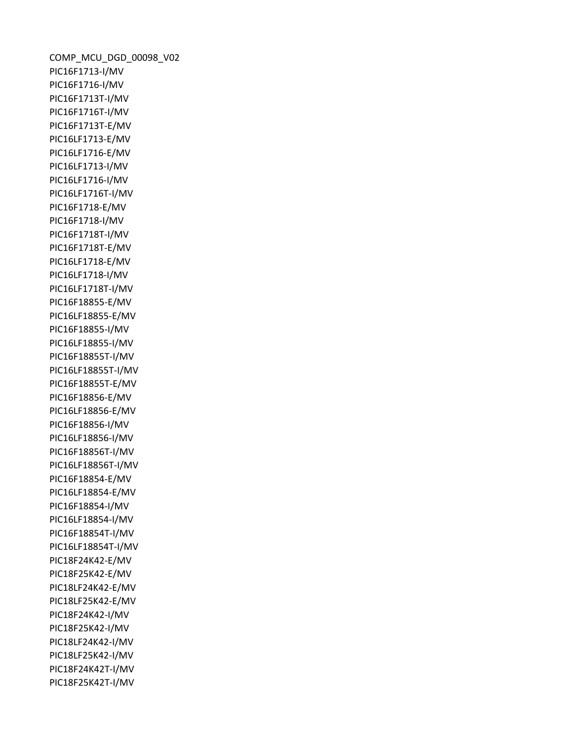COMP\_MCU\_DGD\_00098\_V02 PIC16F1713-I/MV PIC16F1716-I/MV PIC16F1713T-I/MV PIC16F1716T-I/MV PIC16F1713T-E/MV PIC16LF1713-E/MV PIC16LF1716-E/MV PIC16LF1713-I/MV PIC16LF1716-I/MV PIC16LF1716T-I/MV PIC16F1718-E/MV PIC16F1718-I/MV PIC16F1718T-I/MV PIC16F1718T-E/MV PIC16LF1718-E/MV PIC16LF1718-I/MV PIC16LF1718T-I/MV PIC16F18855-E/MV PIC16LF18855-E/MV PIC16F18855-I/MV PIC16LF18855-I/MV PIC16F18855T-I/MV PIC16LF18855T-I/MV PIC16F18855T-E/MV PIC16F18856-E/MV PIC16LF18856-E/MV PIC16F18856-I/MV PIC16LF18856-I/MV PIC16F18856T-I/MV PIC16LF18856T-I/MV PIC16F18854-E/MV PIC16LF18854-E/MV PIC16F18854-I/MV PIC16LF18854-I/MV PIC16F18854T-I/MV PIC16LF18854T-I/MV PIC18F24K42-E/MV PIC18F25K42-E/MV PIC18LF24K42-E/MV PIC18LF25K42-E/MV PIC18F24K42-I/MV PIC18F25K42-I/MV PIC18LF24K42-I/MV PIC18LF25K42-I/MV PIC18F24K42T-I/MV PIC18F25K42T-I/MV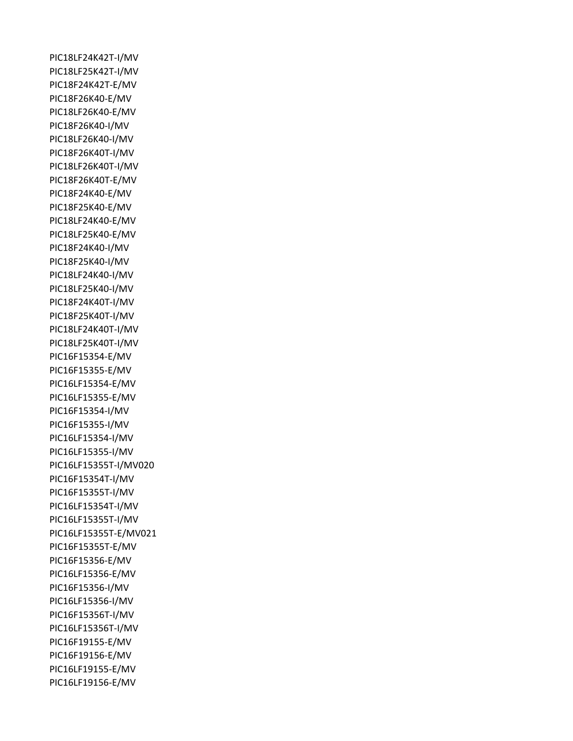PIC18LF24K42T-I/MV PIC18LF25K42T-I/MV PIC18F24K42T-E/MV PIC18F26K40-E/MV PIC18LF26K40-E/MV PIC18F26K40-I/MV PIC18LF26K40-I/MV PIC18F26K40T-I/MV PIC18LF26K40T-I/MV PIC18F26K40T-E/MV PIC18F24K40-E/MV PIC18F25K40-E/MV PIC18LF24K40-E/MV PIC18LF25K40-E/MV PIC18F24K40-I/MV PIC18F25K40-I/MV PIC18LF24K40-I/MV PIC18LF25K40-I/MV PIC18F24K40T-I/MV PIC18F25K40T-I/MV PIC18LF24K40T-I/MV PIC18LF25K40T-I/MV PIC16F15354-E/MV PIC16F15355-E/MV PIC16LF15354-E/MV PIC16LF15355-E/MV PIC16F15354-I/MV PIC16F15355-I/MV PIC16LF15354-I/MV PIC16LF15355-I/MV PIC16LF15355T-I/MV020 PIC16F15354T-I/MV PIC16F15355T-I/MV PIC16LF15354T-I/MV PIC16LF15355T-I/MV PIC16LF15355T-E/MV021 PIC16F15355T-E/MV PIC16F15356-E/MV PIC16LF15356-E/MV PIC16F15356-I/MV PIC16LF15356-I/MV PIC16F15356T-I/MV PIC16LF15356T-I/MV PIC16F19155-E/MV PIC16F19156-E/MV PIC16LF19155-E/MV PIC16LF19156-E/MV